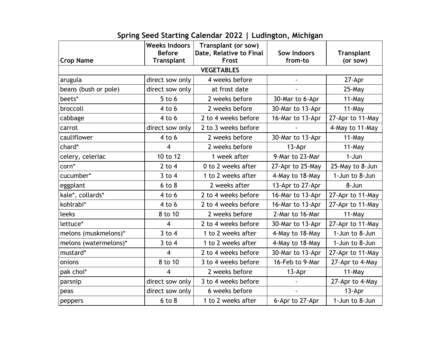|                       | <b>Weeks Indoors</b><br><b>Before</b> | Transplant (or sow)<br>Date, Relative to Final | Sow Indoors      | <b>Transplant</b> |  |  |
|-----------------------|---------------------------------------|------------------------------------------------|------------------|-------------------|--|--|
| <b>Crop Name</b>      | <b>Transplant</b>                     | Frost                                          | from-to          | (or sow)          |  |  |
| <b>VEGETABLES</b>     |                                       |                                                |                  |                   |  |  |
| arugula               | direct sow only                       | 4 weeks before                                 |                  | 27-Apr            |  |  |
| beans (bush or pole)  | direct sow only                       | at frost date                                  |                  | $25$ -May         |  |  |
| beets*                | $5$ to $6$                            | 2 weeks before                                 | 30-Mar to 6-Apr  | $11$ -May         |  |  |
| broccoli              | $4$ to $6$                            | 2 weeks before                                 | 30-Mar to 13-Apr | $11$ -May         |  |  |
| cabbage               | $4$ to $6$                            | 2 to 4 weeks before                            | 16-Mar to 13-Apr | 27-Apr to 11-May  |  |  |
| carrot                | direct sow only                       | 2 to 3 weeks before                            |                  | 4-May to 11-May   |  |  |
| cauliflower           | $4$ to $6$                            | 2 weeks before                                 | 30-Mar to 13-Apr | $11$ -May         |  |  |
| chard*                | 4                                     | 2 weeks before                                 | 13-Apr           | 11-May            |  |  |
| celery, celeriac      | 10 to 12                              | 1 week after                                   | 9-Mar to 23-Mar  | $1-Jun$           |  |  |
| corn*                 | $2$ to $4$                            | 0 to 2 weeks after                             | 27-Apr to 25-May | 25-May to 8-Jun   |  |  |
| cucumber*             | $3$ to 4                              | 1 to 2 weeks after                             | 4-May to 18-May  | 1-Jun to 8-Jun    |  |  |
| eggplant              | $6$ to $8$                            | 2 weeks after                                  | 13-Apr to 27-Apr | 8-Jun             |  |  |
| kale*, collards*      | $4$ to $6$                            | 2 to 4 weeks before                            | 16-Mar to 13-Apr | 27-Apr to 11-May  |  |  |
| kohlrabi*             | $4$ to $6$                            | 2 to 4 weeks before                            | 16-Mar to 13-Apr | 27-Apr to 11-May  |  |  |
| leeks                 | 8 to 10                               | 2 weeks before                                 | 2-Mar to 16-Mar  | $11$ -May         |  |  |
| lettuce*              | 4                                     | 2 to 4 weeks before                            | 30-Mar to 13-Apr | 27-Apr to 11-May  |  |  |
| melons (muskmelons)*  | $3$ to $4$                            | 1 to 2 weeks after                             | 4-May to 18-May  | 1-Jun to 8-Jun    |  |  |
| melons (watermelons)* | $3$ to $4$                            | 1 to 2 weeks after                             | 4-May to 18-May  | 1-Jun to 8-Jun    |  |  |
| mustard*              | $\overline{4}$                        | 2 to 4 weeks before                            | 30-Mar to 13-Apr | 27-Apr to 11-May  |  |  |
| onions                | 8 to 10                               | 3 to 4 weeks before                            | 16-Feb to 9-Mar  | 27-Apr to 4-May   |  |  |
| pak choi*             | 4                                     | 2 weeks before                                 | 13-Apr           | $11$ -May         |  |  |
| parsnip               | direct sow only                       | 3 to 4 weeks before                            |                  | 27-Apr to 4-May   |  |  |
| peas                  | direct sow only                       | 6 weeks before                                 |                  | 13-Apr            |  |  |
| peppers               | $6$ to $8$                            | 1 to 2 weeks after                             | 6-Apr to 27-Apr  | 1-Jun to 8-Jun    |  |  |

## **Spring Seed Starting Calendar 2022 | Ludington, Michigan**